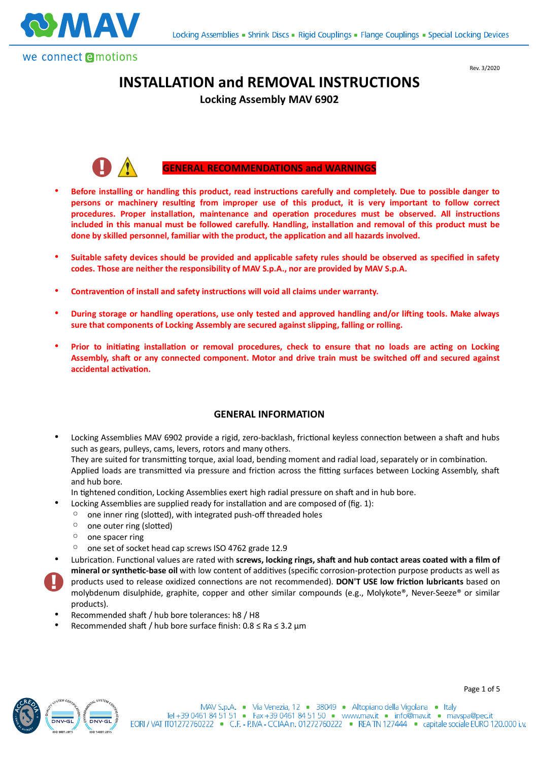



Rev. 3/2020

Page 1 of 5

# **INSTALLATION and REMOVAL INSTRUCTIONS**

**Locking Assembly MAV 6902**



#### **GENERAL RECOMMENDATIONS and WARNINGS**

- Before installing or handling this product, read instructions carefully and completely. Due to possible danger to persons or machinery resulting from improper use of this product, it is very important to follow correct procedures. Proper installation, maintenance and operation procedures must be observed. All instructions included in this manual must be followed carefully. Handling, installation and removal of this product must be done by skilled personnel, familiar with the product, the application and all hazards involved.
- **Suitable safety devices should be provided and applicable safety rules should be observed as specified in safety codes. Those are neither the responsibility of MAV S.p.A., nor are provided by MAV S.p.A.**
- Contravention of install and safety instructions will void all claims under warranty.
- **During storage or handling operations, use only tested and approved handling and/or lifting tools. Make always sure that components of Locking Assembly are secured against slipping, falling or rolling.**
- Prior to initiating installation or removal procedures, check to ensure that no loads are acting on Locking Assembly, shaft or any connected component. Motor and drive train must be switched off and secured against **accidental activation.**

#### **GENERAL INFORMATION**

Locking Assemblies MAV 6902 provide a rigid, zero-backlash, frictional keyless connection between a shaft and hubs such as gears, pulleys, cams, levers, rotors and many others.

They are suited for transmitting torque, axial load, bending moment and radial load, separately or in combination. Applied loads are transmitted via pressure and friction across the fitting surfaces between Locking Assembly, shaft and hub bore.

- In tightened condition, Locking Assemblies exert high radial pressure on shaft and in hub bore.
	- Locking Assemblies are supplied ready for installation and are composed of (fig. 1):
	- one inner ring (slotted), with integrated push-off threaded holes
	- one outer ring (slotted)
	- one spacer ring
	- one set of socket head cap screws ISO 4762 grade 12.9
- Lubrication. Functional values are rated with screws, locking rings, shaft and hub contact areas coated with a film of mineral or synthetic-base oil with low content of additives (specific corrosion-protection purpose products as well as products used to release oxidized connections are not recommended). DON'T USE low friction lubricants based on molybdenum disulphide, graphite, copper and other similar compounds (e.g., Molykote®, Never-Seeze® or similar products).
- Recommended shaft / hub bore tolerances: h8 / H8
- Recommended shaft / hub bore surface finish:  $0.8 \leq Ra \leq 3.2 \mu m$

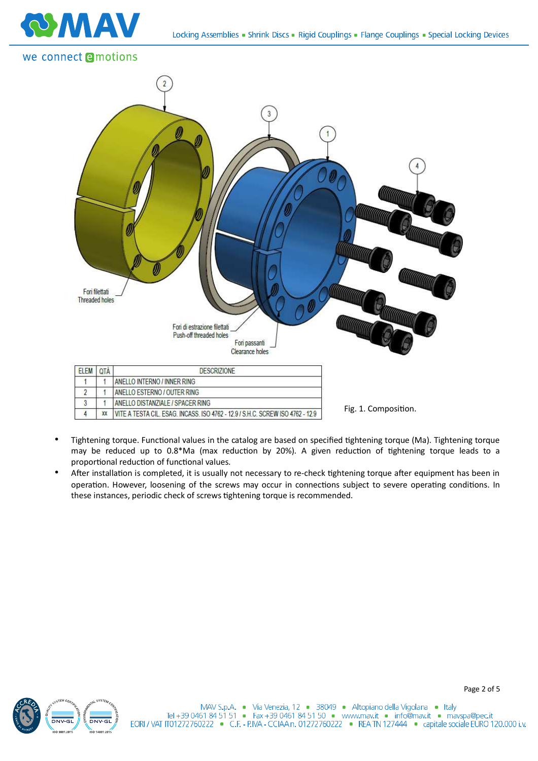

## we connect emotions



- Tightening torque. Functional values in the catalog are based on specified tightening torque (Ma). Tightening torque may be reduced up to 0.8\*Ma (max reduction by 20%). A given reduction of tightening torque leads to a proportional reduction of functional values.
- After installation is completed, it is usually not necessary to re-check tightening torque after equipment has been in operation. However, loosening of the screws may occur in connections subject to severe operating conditions. In these instances, periodic check of screws tightening torque is recommended.

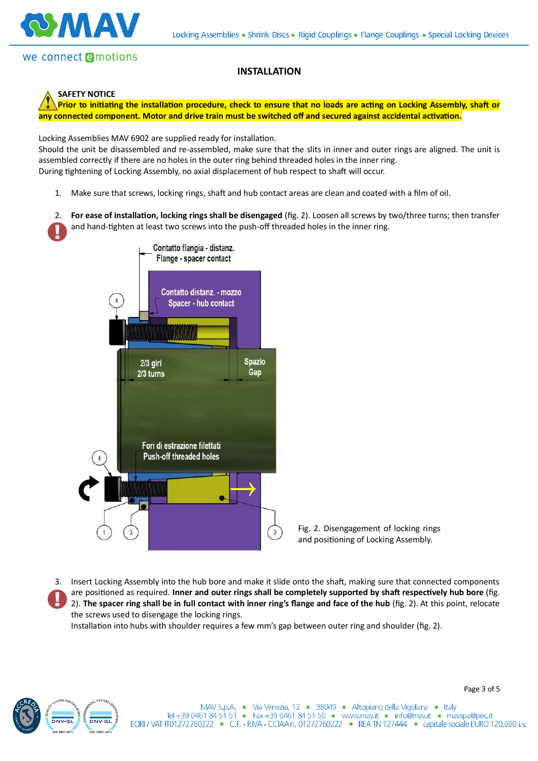

### **SAFETY NOTICE**

Prior to initiating the installation procedure, check to ensure that no loads are acting on Locking Assembly, shaft or any connected component. Motor and drive train must be switched off and secured against accidental activation.

**INSTALLATION**

Locking Assemblies MAV 6902 are supplied ready for installation.

Should the unit be disassembled and re-assembled, make sure that the slits in inner and outer rings are aligned. The unit is assembled correctly if there are no holes in the outer ring behind threaded holes in the inner ring. During tightening of Locking Assembly, no axial displacement of hub respect to shaft will occur.

- 1. Make sure that screws, locking rings, shaft and hub contact areas are clean and coated with a film of oil.
- 2. **For ease of installation, locking rings shall be disengaged** (fig. 2). Loosen all screws by two/three turns; then transfer and hand-tighten at least two screws into the push-off threaded holes in the inner ring.



3. Insert Locking Assembly into the hub bore and make it slide onto the shaft, making sure that connected components are positioned as required. Inner and outer rings shall be completely supported by shaft respectively hub bore (fig. 2). **The spacer ring shall be in full contact with inner ring's flange and face of the hub** (fig. 2). At this point, relocate the screws used to disengage the locking rings.

Installation into hubs with shoulder requires a few mm's gap between outer ring and shoulder (fig. 2).

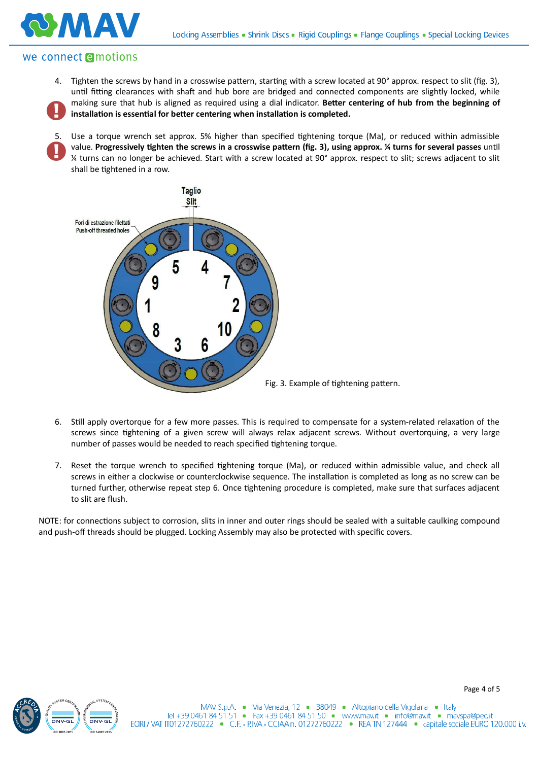

# we connect **e**motions

**VA AN** 

4. Tighten the screws by hand in a crosswise pattern, starting with a screw located at 90° approx. respect to slit (fig. 3), until fitting clearances with shaft and hub bore are bridged and connected components are slightly locked, while making sure that hub is aligned as required using a dial indicator. Better centering of hub from the beginning of installation is essential for better centering when installation is completed.

5. Use a torque wrench set approx. 5% higher than specified tightening torque (Ma), or reduced within admissible value. Progressively tighten the screws in a crosswise pattern (fig. 3), using approx. *¼* turns for several passes until ¼ turns can no longer be achieved. Start with a screw located at 90° approx. respect to slit; screws adjacent to slit shall be tightened in a row.



- 6. Still apply overtorque for a few more passes. This is required to compensate for a system-related relaxation of the screws since tightening of a given screw will always relax adjacent screws. Without overtorquing, a very large number of passes would be needed to reach specified tightening torque.
- 7. Reset the torque wrench to specified tightening torque (Ma), or reduced within admissible value, and check all screws in either a clockwise or counterclockwise sequence. The installation is completed as long as no screw can be turned further, otherwise repeat step 6. Once tightening procedure is completed, make sure that surfaces adjacent to slit are flush.

NOTE: for connections subject to corrosion, slits in inner and outer rings should be sealed with a suitable caulking compound and push-off threads should be plugged. Locking Assembly may also be protected with specific covers.